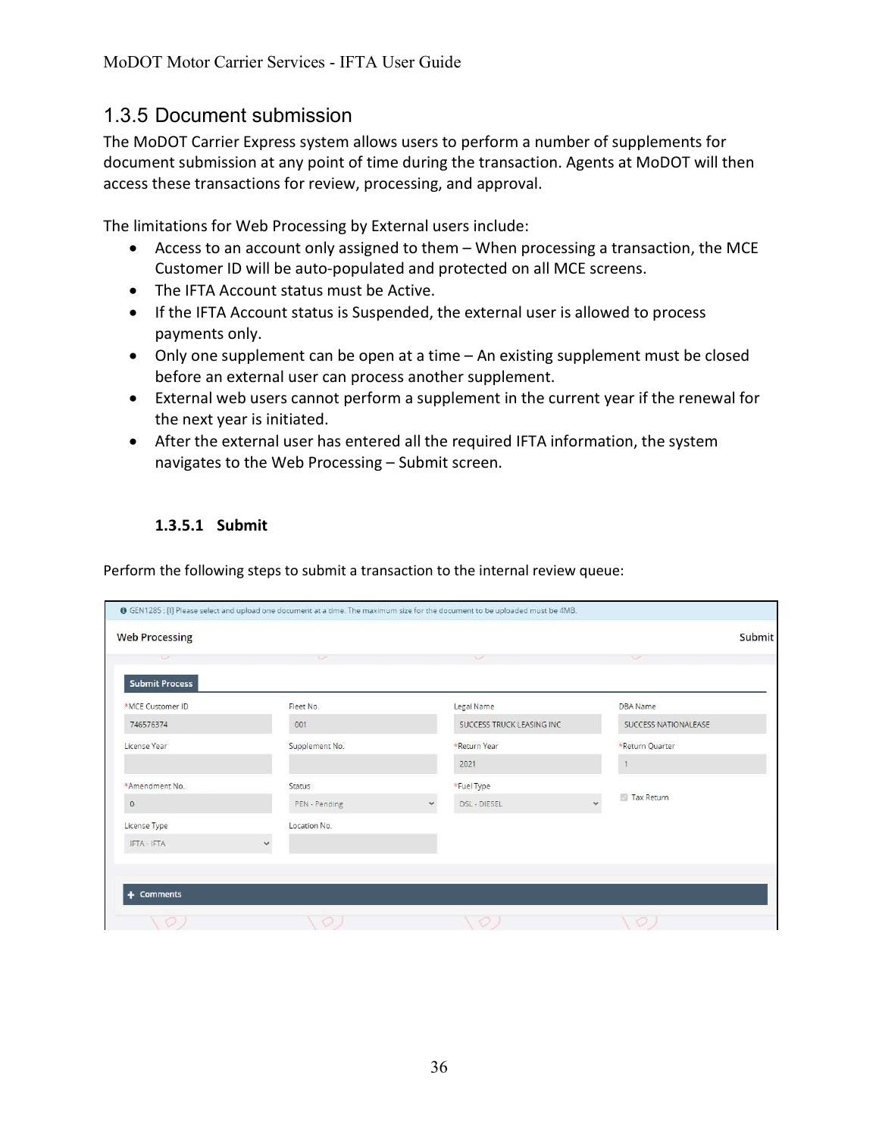## 1.3.5 Document submission

The MoDOT Carrier Express system allows users to perform a number of supplements for document submission at any point of time during the transaction. Agents at MoDOT will then access these transactions for review, processing, and approval.

The limitations for Web Processing by External users include:

- Access to an account only assigned to them When processing a transaction, the MCE Customer ID will be auto-populated and protected on all MCE screens.
- The IFTA Account status must be Active.
- If the IFTA Account status is Suspended, the external user is allowed to process payments only.
- Only one supplement can be open at a time An existing supplement must be closed before an external user can process another supplement.
- External web users cannot perform a supplement in the current year if the renewal for the next year is initiated.
- After the external user has entered all the required IFTA information, the system navigates to the Web Processing – Submit screen.

## 1.3.5.1 Submit

Perform the following steps to submit a transaction to the internal review queue:

|                       | ● GEN1285 : [I] Please select and upload one document at a time. The maximum size for the document to be uploaded must be 4MB. |                                      |                      |
|-----------------------|--------------------------------------------------------------------------------------------------------------------------------|--------------------------------------|----------------------|
| <b>Web Processing</b> |                                                                                                                                |                                      | Submit               |
| $\sqrt{2}$            | $\vee$                                                                                                                         | $\sqrt{2}$                           | $\sim$               |
| <b>Submit Process</b> |                                                                                                                                |                                      |                      |
| *MCE Customer ID      | Fleet No.                                                                                                                      | Legal Name                           | <b>DBA</b> Name      |
| 746576374             | 001                                                                                                                            | SUCCESS TRUCK LEASING INC            | SUCCESS NATIONALEASE |
| License Year          | Supplement No.                                                                                                                 | *Return Year                         | *Return Quarter      |
|                       |                                                                                                                                | 2021                                 |                      |
| *Amendment No.        | Status                                                                                                                         | *Fuel Type                           |                      |
| $\circ$               | $\checkmark$<br>PEN - Pending                                                                                                  | $\ddot{\phantom{0}}$<br>DSL - DIESEL | Tax Return           |
| License Type          | Location No.                                                                                                                   |                                      |                      |
| IFTA - IFTA           |                                                                                                                                |                                      |                      |
|                       |                                                                                                                                |                                      |                      |
| + Comments            |                                                                                                                                |                                      |                      |
|                       |                                                                                                                                |                                      |                      |